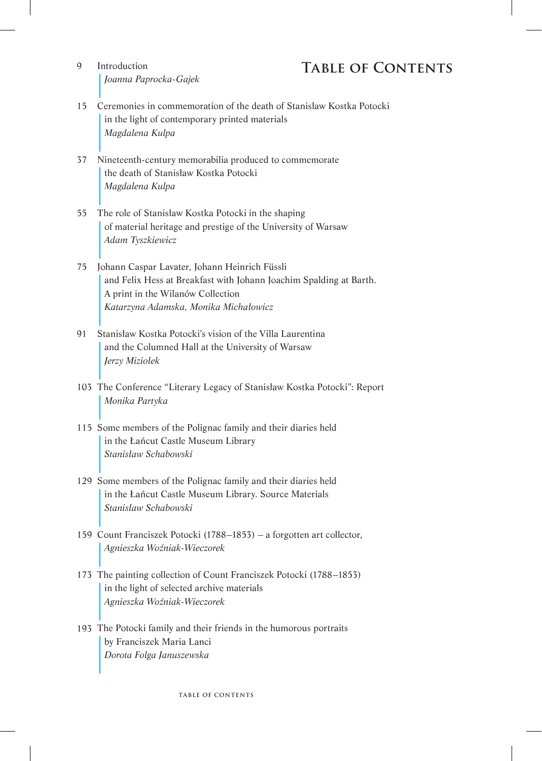## **Introduction TABLE OF CONTENTS**

- $\Omega$ *Joanna Paprocka-Gajek*
- 15 Ceremonies in commemoration of the death of Stanisław Kostka Potocki in the light of contemporary printed materials *Magdalena Kulpa*
- 37 Nineteenth-century memorabilia produced to commemorate the death of Stanisław Kostka Potocki *Magdalena Kulpa*
- 55 The role of Stanisław Kostka Potocki in the shaping of material heritage and prestige of the University of Warsaw *Adam Tyszkiewicz*
- 75 Johann Caspar Lavater, Johann Heinrich Füssli and Felix Hess at Breakfast with Johann Joachim Spalding at Barth. A print in the Wilanów Collection *Katarzyna Adamska, Monika Michałowicz*
- 91 Stanisław Kostka Potocki's vision of the Villa Laurentina and the Columned Hall at the University of Warsaw *Jerzy Miziołek*
- 103 The Conference "Literary Legacy of Stanisław Kostka Potocki": Report *Monika Partyka*
- 115 Some members of the Polignac family and their diaries held in the Łańcut Castle Museum Library *Stanisław Schabowski*
- 129 Some members of the Polignac family and their diaries held in the Łańcut Castle Museum Library. Source Materials *Stanisław Schabowski*
- 159 Count Franciszek Potocki (1788–1853) a forgotten art collector, *Agnieszka Woźniak-Wieczorek*
- 173 The painting collection of Count Franciszek Potocki (1788–1853) in the light of selected archive materials *Agnieszka Woźniak-Wieczorek*
- 193 The Potocki family and their friends in the humorous portraits by Franciszek Maria Lanci *Dorota Folga Januszewska*